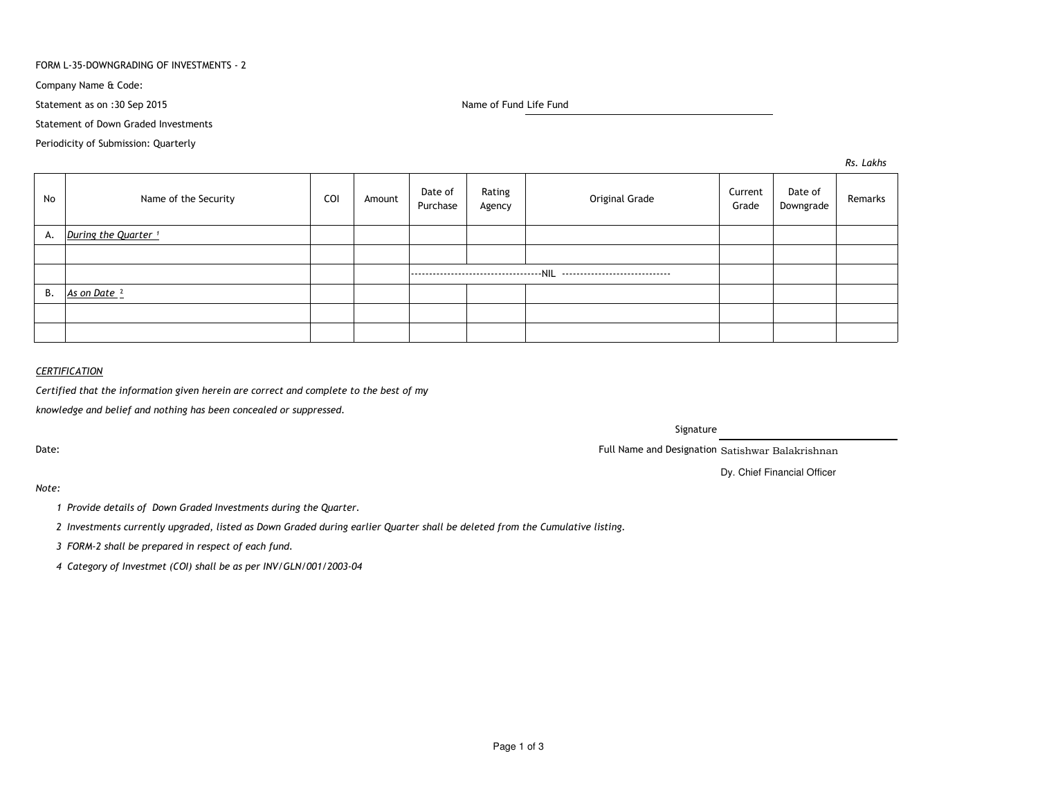### FORM L-35-DOWNGRADING OF INVESTMENTS - 2

Company Name & Code:

Statement as on :30 Sep 2015

Name of Fund Life Fund

Statement of Down Graded Investments

Periodicity of Submission: Quarterly

*Rs. Lakhs*

| No | Name of the Security            | COI | Amount | Date of<br>Purchase | Rating<br>Agency | Original Grade | Current<br>Grade | Date of<br>Downgrade | Remarks |
|----|---------------------------------|-----|--------|---------------------|------------------|----------------|------------------|----------------------|---------|
| А. | During the Quarter <sup>1</sup> |     |        |                     |                  |                |                  |                      |         |
|    |                                 |     |        |                     |                  |                |                  |                      |         |
|    |                                 |     |        |                     |                  |                |                  |                      |         |
| В. | As on Date <sup>2</sup>         |     |        |                     |                  |                |                  |                      |         |
|    |                                 |     |        |                     |                  |                |                  |                      |         |
|    |                                 |     |        |                     |                  |                |                  |                      |         |

## *CERTIFICATION*

*Certified that the information given herein are correct and complete to the best of my*

*knowledge and belief and nothing has been concealed or suppressed.*

Date:

Signature

Full Name and Designation Satishwar Balakrishnan

Dy. Chief Financial Officer

*Note:*

*<sup>1</sup> Provide details of Down Graded Investments during the Quarter.* 

*<sup>2</sup> Investments currently upgraded, listed as Down Graded during earlier Quarter shall be deleted from the Cumulative listing.*

*<sup>3</sup> FORM-2 shall be prepared in respect of each fund.*

*<sup>4</sup> Category of Investmet (COI) shall be as per INV/GLN/001/2003-04*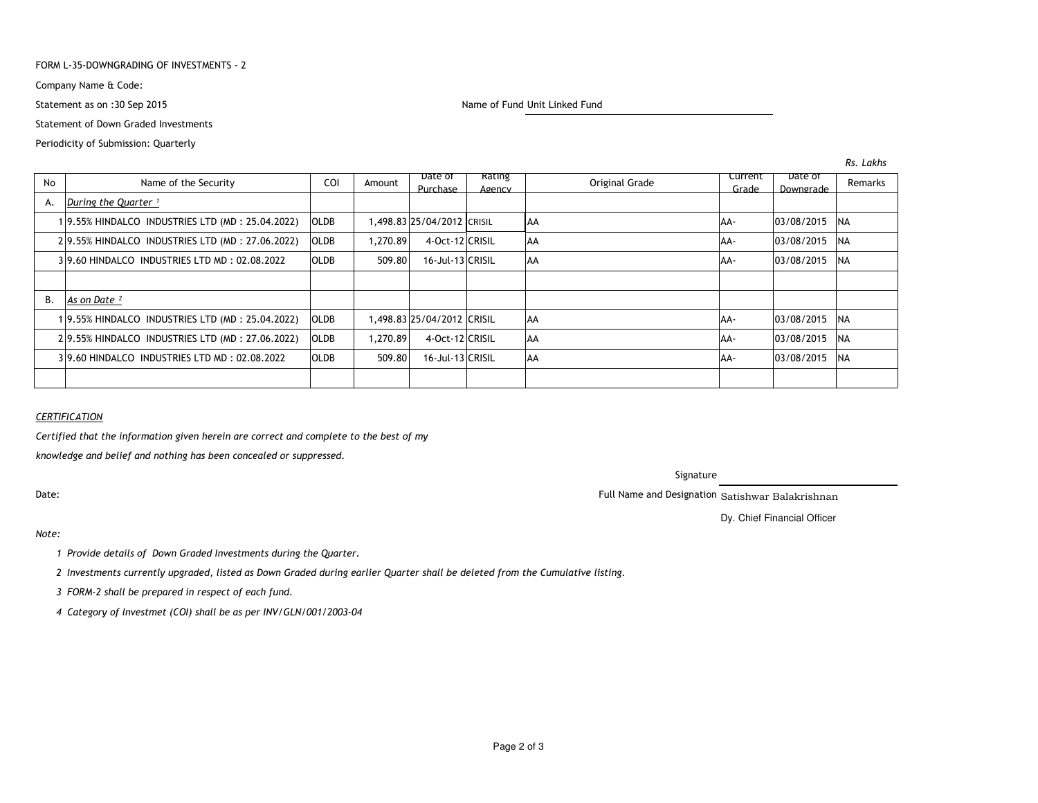### FORM L-35-DOWNGRADING OF INVESTMENTS - 2

Company Name & Code:

Statement as on :30 Sep 2015

Statement of Down Graded Investments

### Periodicity of Submission: Quarterly

Name of Fund Unit Linked Fund

| No        | Name of the Security                            | COI         | Amount   | Date of<br>Purchase        | <b>Rating</b><br>Agency |            | Original Grade | Current<br>Grade | Date of<br>Downgrade | Remarks    |
|-----------|-------------------------------------------------|-------------|----------|----------------------------|-------------------------|------------|----------------|------------------|----------------------|------------|
| А.        | During the Quarter <sup>1</sup>                 |             |          |                            |                         |            |                |                  |                      |            |
|           | 19.55% HINDALCO INDUSTRIES LTD (MD: 25.04.2022) | <b>OLDB</b> |          | 1,498.83 25/04/2012 CRISIL |                         | <b>JAA</b> |                | AA-              | 03/08/2015           | INA        |
|           | 29.55% HINDALCO INDUSTRIES LTD (MD: 27.06.2022) | <b>OLDB</b> | 1.270.89 | 4-Oct-12 CRISIL            |                         | <b>AA</b>  |                | IAA-             | 03/08/2015           | <b>NA</b>  |
|           | 39.60 HINDALCO INDUSTRIES LTD MD: 02.08.2022    | <b>OLDB</b> | 509.80   | 16-Jul-13 CRISIL           |                         | AA         |                | IAA-             | 03/08/2015           | <b>NA</b>  |
|           |                                                 |             |          |                            |                         |            |                |                  |                      |            |
| <b>B.</b> | As on Date <sup>2</sup>                         |             |          |                            |                         |            |                |                  |                      |            |
|           | 19.55% HINDALCO INDUSTRIES LTD (MD: 25.04.2022) | <b>OLDB</b> |          | 1.498.83 25/04/2012 CRISIL |                         | <b>AA</b>  |                | AA-              | 03/08/2015           | <b>INA</b> |
|           | 29.55% HINDALCO INDUSTRIES LTD (MD: 27.06.2022) | <b>OLDB</b> | 1.270.89 | 4-Oct-12 CRISIL            |                         | AA         |                | IAA-             | 03/08/2015           | <b>NA</b>  |
|           | 39.60 HINDALCO INDUSTRIES LTD MD: 02.08.2022    | <b>OLDB</b> | 509.80   | 16-Jul-13 CRISIL           |                         | <b>AA</b>  |                | AA-              | 03/08/2015           | <b>NA</b>  |
|           |                                                 |             |          |                            |                         |            |                |                  |                      |            |

# *CERTIFICATION*

*Certified that the information given herein are correct and complete to the best of my*

*knowledge and belief and nothing has been concealed or suppressed.*

Date:

Signature

Full Name and Designation Satishwar Balakrishnan

Dy. Chief Financial Officer

### *Note:*

*<sup>1</sup> Provide details of Down Graded Investments during the Quarter.* 

*<sup>2</sup> Investments currently upgraded, listed as Down Graded during earlier Quarter shall be deleted from the Cumulative listing.*

*<sup>3</sup> FORM-2 shall be prepared in respect of each fund.*

*<sup>4</sup> Category of Investmet (COI) shall be as per INV/GLN/001/2003-04*

*Rs. Lakhs*